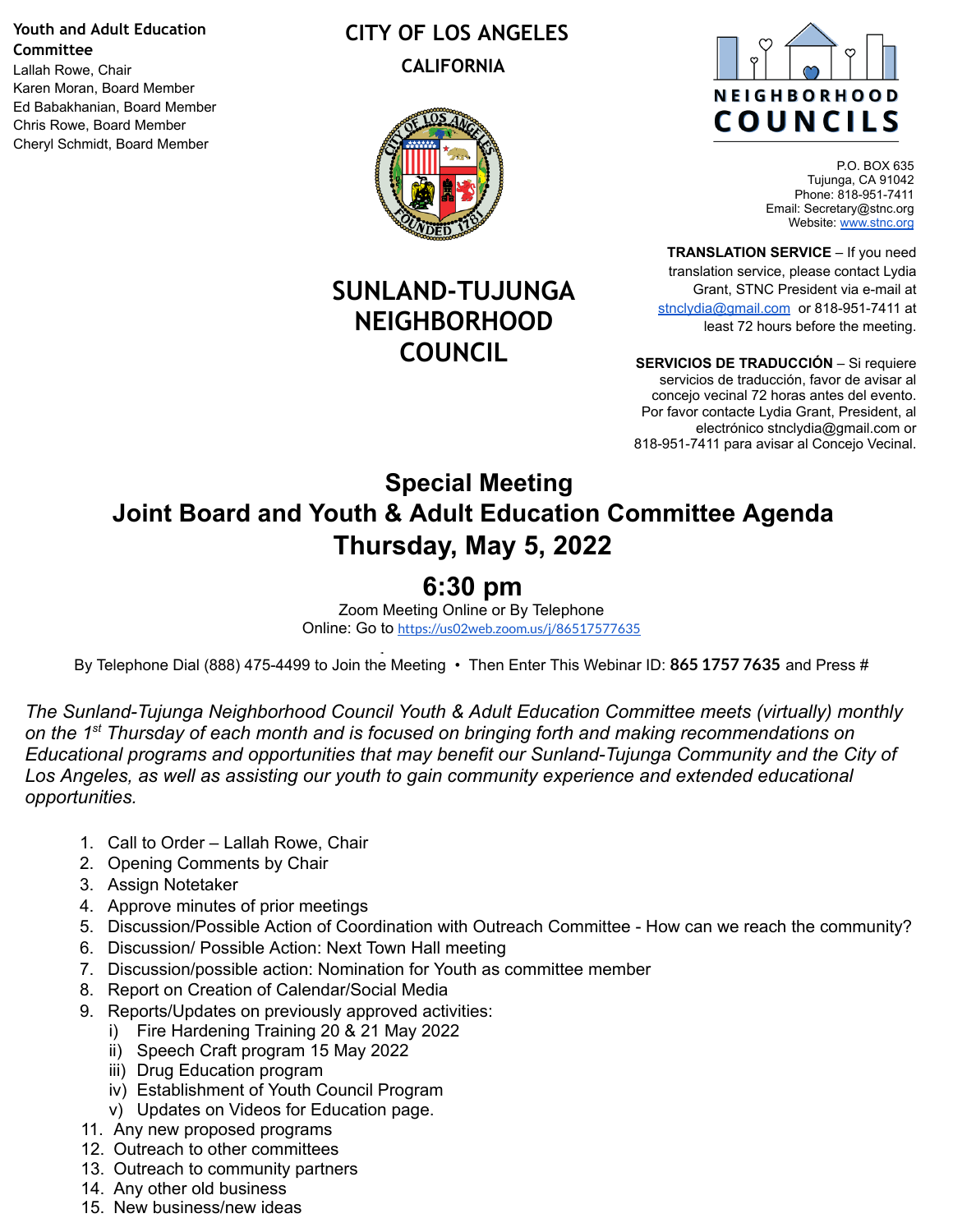#### **Youth and Adult Education Committee**

Lallah Rowe, Chair Karen Moran, Board Member Ed Babakhanian, Board Member Chris Rowe, Board Member Cheryl Schmidt, Board Member

#### **CITY OF LOS ANGELES CALIFORNIA**



## **SUNLAND-TUJUNGA NEIGHBORHOOD COUNCIL**



P.O. BOX 635 Tujunga, CA 91042 Phone: 818-951-7411 Email: Secretary@stnc.org Website: [www.stnc.org](http://www.stnc.org/)

**TRANSLATION SERVICE** – If you need translation service, please contact Lydia Grant, STNC President via e-mail at [stnclydia@gmail.com](mailto:stnclydia@gmail.com) or 818-951-7411 at least 72 hours before the meeting.

**SERVICIOS DE TRADUCCIÓN** – Si requiere servicios de traducción, favor de avisar al concejo vecinal 72 horas antes del evento. Por favor contacte Lydia Grant, President, al electrónico stnclydia@gmail.com or 818-951-7411 para avisar al Concejo Vecinal.

## **Special Meeting Joint Board and Youth & Adult Education Committee Agenda Thursday, May 5, 2022**

# **6:30 pm**

Zoom Meeting Online or By Telephone Online: Go to <https://us02web.zoom.us/j/86517577635>

By Telephone Dial (888) 475-4499 to Join the Meeting • Then Enter This Webinar ID: **865 1757 7635** and Press #

*The Sunland-Tujunga Neighborhood Council Youth & Adult Education Committee meets (virtually) monthly on the 1st Thursday of each month and is focused on bringing forth and making recommendations on Educational programs and opportunities that may benefit our Sunland-Tujunga Community and the City of Los Angeles, as well as assisting our youth to gain community experience and extended educational opportunities.*

- 1. Call to Order Lallah Rowe, Chair
- 2. Opening Comments by Chair
- 3. Assign Notetaker
- 4. Approve minutes of prior meetings
- 5. Discussion/Possible Action of Coordination with Outreach Committee How can we reach the community?
- 6. Discussion/ Possible Action: Next Town Hall meeting
- 7. Discussion/possible action: Nomination for Youth as committee member
- 8. Report on Creation of Calendar/Social Media
- 9. Reports/Updates on previously approved activities:
	- i) Fire Hardening Training 20 & 21 May 2022
	- ii) Speech Craft program 15 May 2022
	- iii) Drug Education program
	- iv) Establishment of Youth Council Program
	- v) Updates on Videos for Education page.
- 11. Any new proposed programs
- 12. Outreach to other committees
- 13. Outreach to community partners
- 14. Any other old business
- 15. New business/new ideas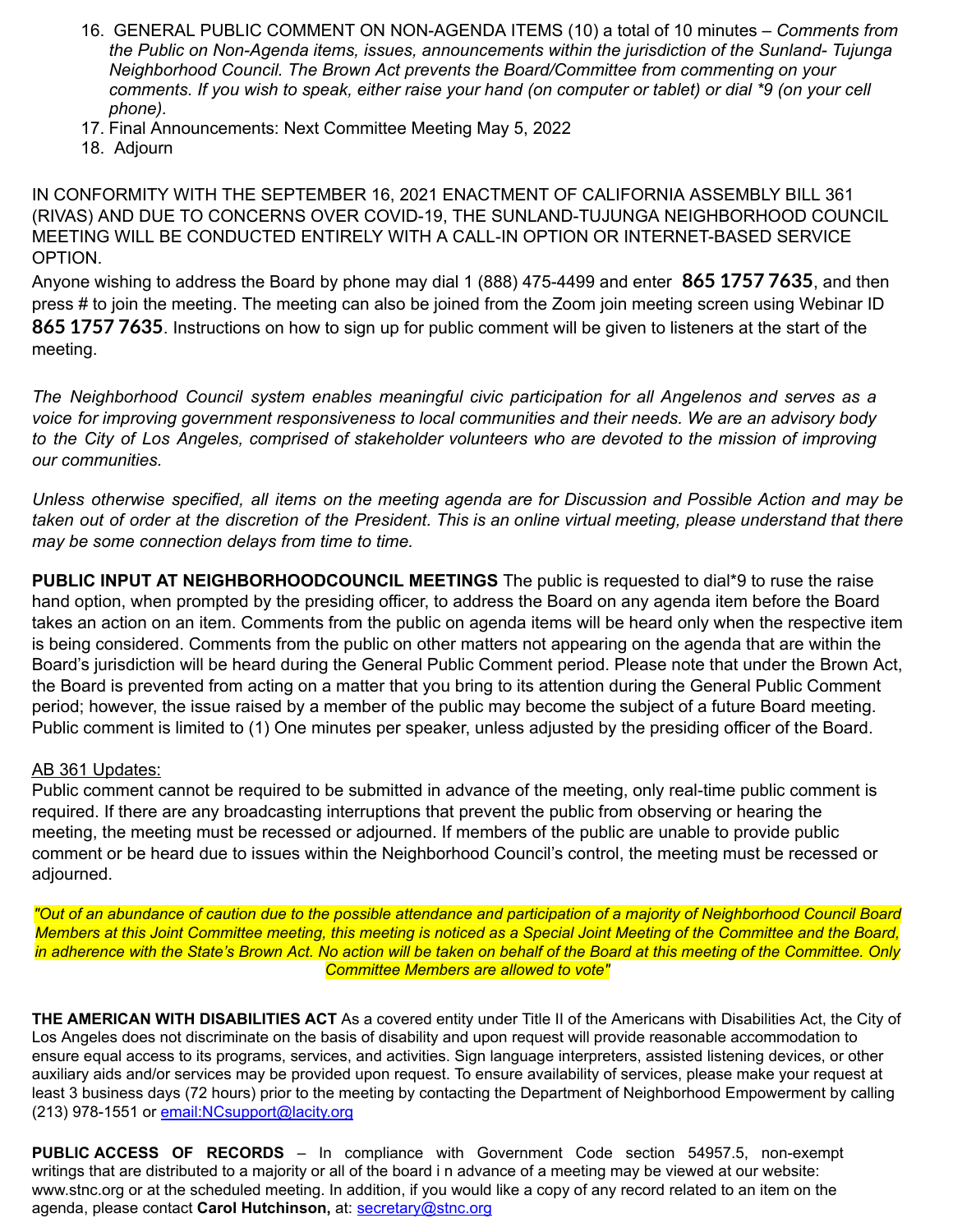- 16. GENERAL PUBLIC COMMENT ON NON-AGENDA ITEMS (10) a total of 10 minutes *Comments from the Public on Non-Agenda items, issues, announcements within the jurisdiction of the Sunland- Tujunga Neighborhood Council. The Brown Act prevents the Board/Committee from commenting on your* comments. If you wish to speak, either raise your hand (on computer or tablet) or dial \*9 (on your cell *phone).*
- 17. Final Announcements: Next Committee Meeting May 5, 2022
- 18. Adjourn

IN CONFORMITY WITH THE SEPTEMBER 16, 2021 ENACTMENT OF CALIFORNIA ASSEMBLY BILL 361 (RIVAS) AND DUE TO CONCERNS OVER COVID-19, THE SUNLAND-TUJUNGA NEIGHBORHOOD COUNCIL MEETING WILL BE CONDUCTED ENTIRELY WITH A CALL-IN OPTION OR INTERNET-BASED SERVICE OPTION.

Anyone wishing to address the Board by phone may dial 1 (888) 475-4499 and enter **865 1757 7635**, and then press # to join the meeting. The meeting can also be joined from the Zoom join meeting screen using Webinar ID **865 1757 7635**. Instructions on how to sign up for public comment will be given to listeners at the start of the meeting.

*The Neighborhood Council system enables meaningful civic participation for all Angelenos and serves as a voice for improving government responsiveness to local communities and their needs. We are an advisory body* to the City of Los Angeles, comprised of stakeholder volunteers who are devoted to the mission of improving *our communities.*

Unless otherwise specified, all items on the meeting agenda are for Discussion and Possible Action and may be taken out of order at the discretion of the President. This is an online virtual meeting, please understand that there *may be some connection delays from time to time.*

**PUBLIC INPUT AT NEIGHBORHOODCOUNCIL MEETINGS** The public is requested to dial\*9 to ruse the raise hand option, when prompted by the presiding officer, to address the Board on any agenda item before the Board takes an action on an item. Comments from the public on agenda items will be heard only when the respective item is being considered. Comments from the public on other matters not appearing on the agenda that are within the Board's jurisdiction will be heard during the General Public Comment period. Please note that under the Brown Act, the Board is prevented from acting on a matter that you bring to its attention during the General Public Comment period; however, the issue raised by a member of the public may become the subject of a future Board meeting. Public comment is limited to (1) One minutes per speaker, unless adjusted by the presiding officer of the Board.

#### AB 361 Updates:

Public comment cannot be required to be submitted in advance of the meeting, only real-time public comment is required. If there are any broadcasting interruptions that prevent the public from observing or hearing the meeting, the meeting must be recessed or adjourned. If members of the public are unable to provide public comment or be heard due to issues within the Neighborhood Council's control, the meeting must be recessed or adjourned.

"Out of an abundance of caution due to the possible attendance and participation of a majority of Neighborhood Council Board Members at this Joint Committee meeting, this meeting is noticed as a Special Joint Meeting of the Committee and the Board, in adherence with the State's Brown Act. No action will be taken on behalf of the Board at this meeting of the Committee. Only *Committee Members are allowed to vote"*

**THE AMERICAN WITH DISABILITIES ACT** As a covered entity under Title II of the Americans with Disabilities Act, the City of Los Angeles does not discriminate on the basis of disability and upon request will provide reasonable accommodation to ensure equal access to its programs, services, and activities. Sign language interpreters, assisted listening devices, or other auxiliary aids and/or services may be provided upon request. To ensure availability of services, please make your request at least 3 business days (72 hours) prior to the meeting by contacting the Department of Neighborhood Empowerment by calling (213) 978-1551 or email: NCsupport@lacity.org

**PUBLIC ACCESS OF RECORDS** – In compliance with Government Code section 54957.5, non-exempt writings that are distributed to a majority or all of the board i n advance of a meeting may be viewed at our website: [www.stnc.org](http://www.stnc.org/) or at the scheduled meeting. In addition, if you would like a copy of any record related to an item on the agenda, please contact **Carol Hutchinson,** at: [secretary@stnc.org](mailto:secretary@stnc.org)